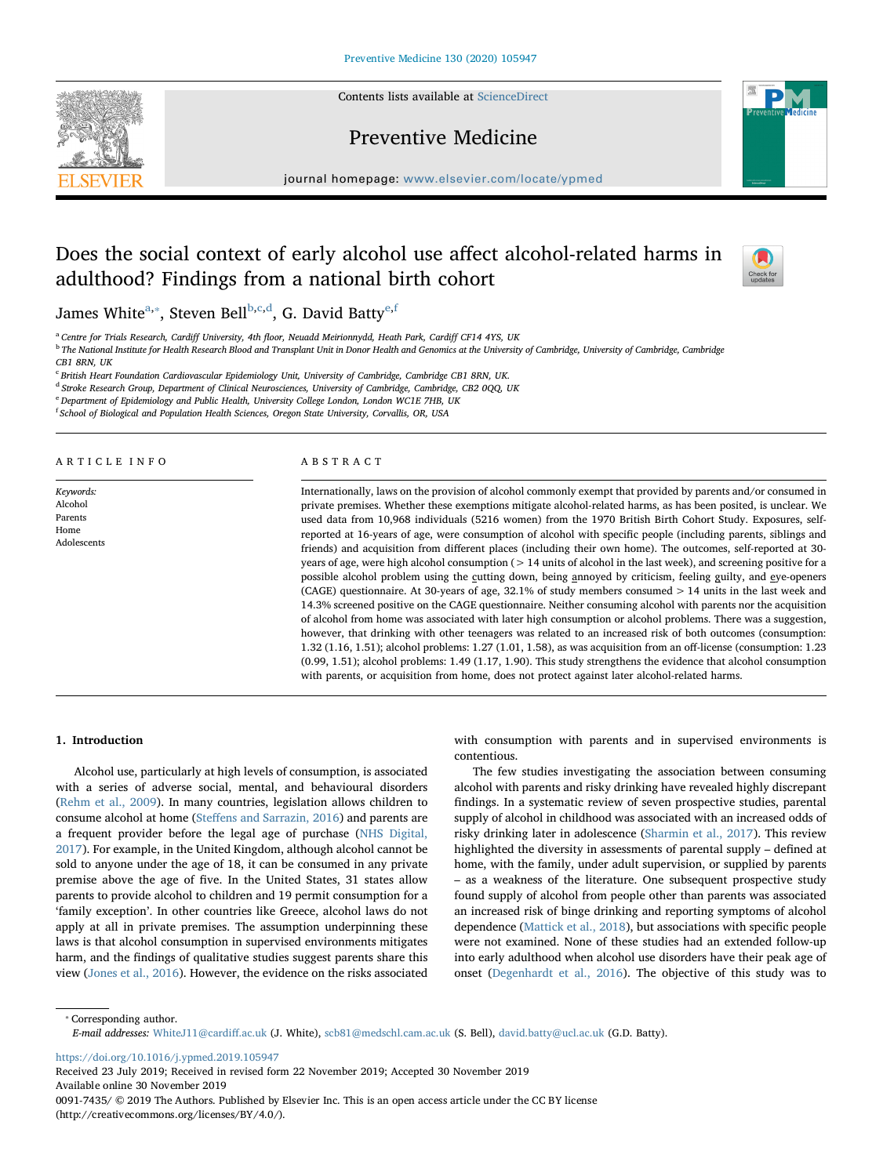Contents lists available at [ScienceDirect](http://www.sciencedirect.com/science/journal/00917435)







journal homepage: [www.elsevier.com/locate/ypmed](https://www.elsevier.com/locate/ypmed)

# Does the social context of early alcohol use affect alcohol-related harms in adulthood? Findings from a national birth cohort



James White $^{\mathrm{a},*},$  Steven Bell $^{\mathrm{b},\mathrm{c},\mathrm{d}},$  $^{\mathrm{b},\mathrm{c},\mathrm{d}},$  $^{\mathrm{b},\mathrm{c},\mathrm{d}},$  $^{\mathrm{b},\mathrm{c},\mathrm{d}},$  $^{\mathrm{b},\mathrm{c},\mathrm{d}},$  G. David Batty $^{\mathrm{e},\mathrm{f}}$  $^{\mathrm{e},\mathrm{f}}$  $^{\mathrm{e},\mathrm{f}}$ 

<span id="page-0-0"></span><sup>a</sup> Centre for Trials Research, Cardiff University, 4th floor, Neuadd Meirionnydd, Heath Park, Cardiff CF14 4YS, UK

<span id="page-0-2"></span><sup>b</sup> The National Institute for Health Research Blood and Transplant Unit in Donor Health and Genomics at the University of Cambridge, University of Cambridge, Cambridge, Cambridge, Cambridge, Cambridge, Cambridge, Cambridg

CB1 8RN, UK

<span id="page-0-3"></span><sup>c</sup> British Heart Foundation Cardiovascular Epidemiology Unit, University of Cambridge, Cambridge CB1 8RN, UK.

<span id="page-0-4"></span><sup>d</sup> Stroke Research Group, Department of Clinical Neurosciences, University of Cambridge, Cambridge, CB2 0QQ, UK

<span id="page-0-5"></span><sup>e</sup> Department of Epidemiology and Public Health, University College London, London WC1E 7HB, UK

<span id="page-0-6"></span><sup>f</sup> School of Biological and Population Health Sciences, Oregon State University, Corvallis, OR, USA

#### ARTICLE INFO

Keywords: Alcohol Parents Home Adolescents

# ABSTRACT

Internationally, laws on the provision of alcohol commonly exempt that provided by parents and/or consumed in private premises. Whether these exemptions mitigate alcohol-related harms, as has been posited, is unclear. We used data from 10,968 individuals (5216 women) from the 1970 British Birth Cohort Study. Exposures, selfreported at 16-years of age, were consumption of alcohol with specific people (including parents, siblings and friends) and acquisition from different places (including their own home). The outcomes, self-reported at 30 years of age, were high alcohol consumption (> 14 units of alcohol in the last week), and screening positive for a possible alcohol problem using the cutting down, being annoyed by criticism, feeling guilty, and eye-openers (CAGE) questionnaire. At 30-years of age, 32.1% of study members consumed > 14 units in the last week and 14.3% screened positive on the CAGE questionnaire. Neither consuming alcohol with parents nor the acquisition of alcohol from home was associated with later high consumption or alcohol problems. There was a suggestion, however, that drinking with other teenagers was related to an increased risk of both outcomes (consumption: 1.32 (1.16, 1.51); alcohol problems: 1.27 (1.01, 1.58), as was acquisition from an off-license (consumption: 1.23 (0.99, 1.51); alcohol problems: 1.49 (1.17, 1.90). This study strengthens the evidence that alcohol consumption with parents, or acquisition from home, does not protect against later alcohol-related harms.

# 1. Introduction

Alcohol use, particularly at high levels of consumption, is associated with a series of adverse social, mental, and behavioural disorders ([Rehm et al., 2009\)](#page-3-0). In many countries, legislation allows children to consume alcohol at home (Steff[ens and Sarrazin, 2016\)](#page-3-1) and parents are a frequent provider before the legal age of purchase ([NHS Digital,](#page-3-2) [2017\)](#page-3-2). For example, in the United Kingdom, although alcohol cannot be sold to anyone under the age of 18, it can be consumed in any private premise above the age of five. In the United States, 31 states allow parents to provide alcohol to children and 19 permit consumption for a 'family exception'. In other countries like Greece, alcohol laws do not apply at all in private premises. The assumption underpinning these laws is that alcohol consumption in supervised environments mitigates harm, and the findings of qualitative studies suggest parents share this view [\(Jones et al., 2016\)](#page-3-3). However, the evidence on the risks associated

with consumption with parents and in supervised environments is contentious.

The few studies investigating the association between consuming alcohol with parents and risky drinking have revealed highly discrepant findings. In a systematic review of seven prospective studies, parental supply of alcohol in childhood was associated with an increased odds of risky drinking later in adolescence [\(Sharmin et al., 2017](#page-3-4)). This review highlighted the diversity in assessments of parental supply – defined at home, with the family, under adult supervision, or supplied by parents – as a weakness of the literature. One subsequent prospective study found supply of alcohol from people other than parents was associated an increased risk of binge drinking and reporting symptoms of alcohol dependence ([Mattick et al., 2018](#page-3-5)), but associations with specific people were not examined. None of these studies had an extended follow-up into early adulthood when alcohol use disorders have their peak age of onset [\(Degenhardt et al., 2016](#page-3-6)). The objective of this study was to

<span id="page-0-1"></span>⁎ Corresponding author.

<https://doi.org/10.1016/j.ypmed.2019.105947>

Received 23 July 2019; Received in revised form 22 November 2019; Accepted 30 November 2019 Available online 30 November 2019

0091-7435/ © 2019 The Authors. Published by Elsevier Inc. This is an open access article under the CC BY license (http://creativecommons.org/licenses/BY/4.0/).

E-mail addresses: [WhiteJ11@cardi](mailto:WhiteJ11@cardiff.ac.uk)ff.ac.uk (J. White), [scb81@medschl.cam.ac.uk](mailto:scb81@medschl.cam.ac.uk) (S. Bell), [david.batty@ucl.ac.uk](mailto:david.batty@ucl.ac.uk) (G.D. Batty).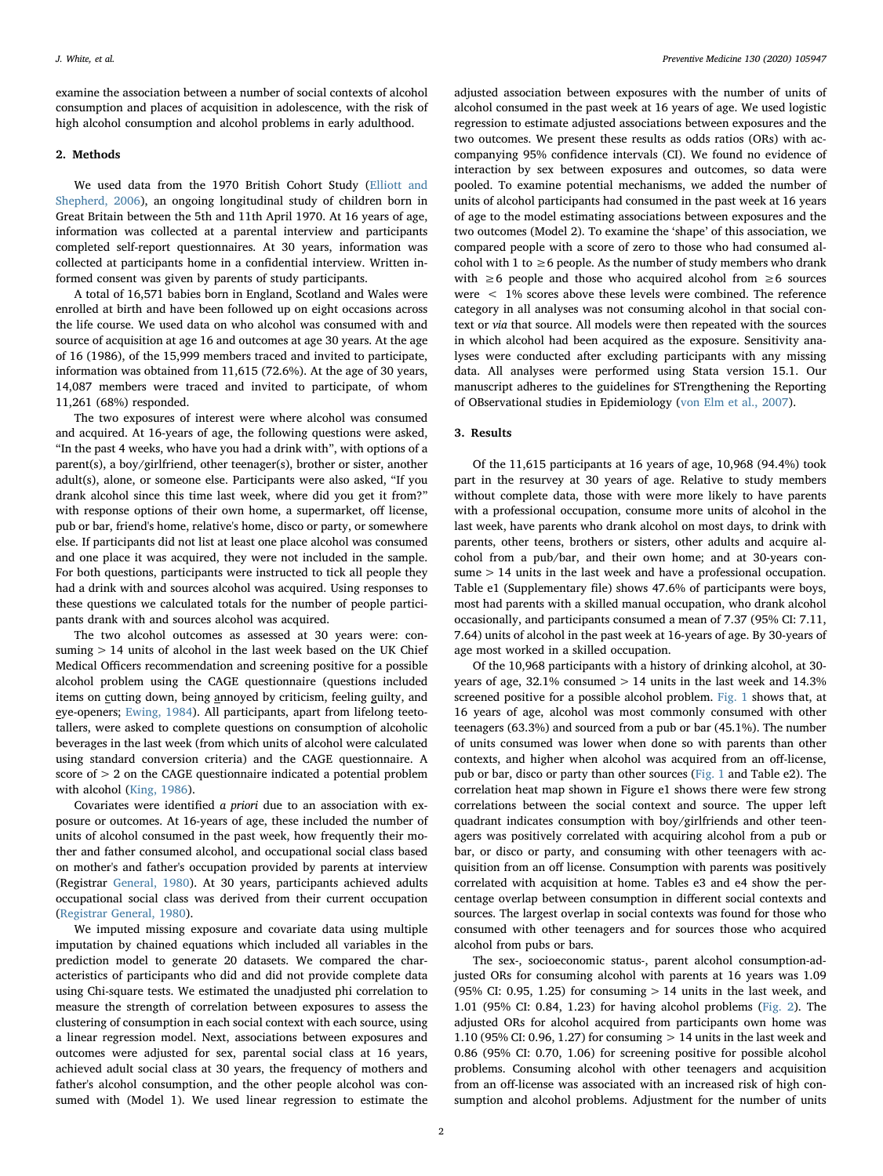examine the association between a number of social contexts of alcohol consumption and places of acquisition in adolescence, with the risk of high alcohol consumption and alcohol problems in early adulthood.

#### 2. Methods

We used data from the 1970 British Cohort Study ([Elliott and](#page-3-7) [Shepherd, 2006\)](#page-3-7), an ongoing longitudinal study of children born in Great Britain between the 5th and 11th April 1970. At 16 years of age, information was collected at a parental interview and participants completed self-report questionnaires. At 30 years, information was collected at participants home in a confidential interview. Written informed consent was given by parents of study participants.

A total of 16,571 babies born in England, Scotland and Wales were enrolled at birth and have been followed up on eight occasions across the life course. We used data on who alcohol was consumed with and source of acquisition at age 16 and outcomes at age 30 years. At the age of 16 (1986), of the 15,999 members traced and invited to participate, information was obtained from 11,615 (72.6%). At the age of 30 years, 14,087 members were traced and invited to participate, of whom 11,261 (68%) responded.

The two exposures of interest were where alcohol was consumed and acquired. At 16-years of age, the following questions were asked, "In the past 4 weeks, who have you had a drink with", with options of a parent(s), a boy/girlfriend, other teenager(s), brother or sister, another adult(s), alone, or someone else. Participants were also asked, "If you drank alcohol since this time last week, where did you get it from?" with response options of their own home, a supermarket, off license, pub or bar, friend's home, relative's home, disco or party, or somewhere else. If participants did not list at least one place alcohol was consumed and one place it was acquired, they were not included in the sample. For both questions, participants were instructed to tick all people they had a drink with and sources alcohol was acquired. Using responses to these questions we calculated totals for the number of people participants drank with and sources alcohol was acquired.

The two alcohol outcomes as assessed at 30 years were: consuming > 14 units of alcohol in the last week based on the UK Chief Medical Officers recommendation and screening positive for a possible alcohol problem using the CAGE questionnaire (questions included items on cutting down, being annoyed by criticism, feeling guilty, and eye-openers; [Ewing, 1984\)](#page-3-8). All participants, apart from lifelong teetotallers, were asked to complete questions on consumption of alcoholic beverages in the last week (from which units of alcohol were calculated using standard conversion criteria) and the CAGE questionnaire. A score of > 2 on the CAGE questionnaire indicated a potential problem with alcohol ([King, 1986\)](#page-3-9).

Covariates were identified a priori due to an association with exposure or outcomes. At 16-years of age, these included the number of units of alcohol consumed in the past week, how frequently their mother and father consumed alcohol, and occupational social class based on mother's and father's occupation provided by parents at interview (Registrar [General, 1980\)](#page-3-10). At 30 years, participants achieved adults occupational social class was derived from their current occupation ([Registrar General, 1980](#page-3-10)).

We imputed missing exposure and covariate data using multiple imputation by chained equations which included all variables in the prediction model to generate 20 datasets. We compared the characteristics of participants who did and did not provide complete data using Chi-square tests. We estimated the unadjusted phi correlation to measure the strength of correlation between exposures to assess the clustering of consumption in each social context with each source, using a linear regression model. Next, associations between exposures and outcomes were adjusted for sex, parental social class at 16 years, achieved adult social class at 30 years, the frequency of mothers and father's alcohol consumption, and the other people alcohol was consumed with (Model 1). We used linear regression to estimate the adjusted association between exposures with the number of units of alcohol consumed in the past week at 16 years of age. We used logistic regression to estimate adjusted associations between exposures and the two outcomes. We present these results as odds ratios (ORs) with accompanying 95% confidence intervals (CI). We found no evidence of interaction by sex between exposures and outcomes, so data were pooled. To examine potential mechanisms, we added the number of units of alcohol participants had consumed in the past week at 16 years of age to the model estimating associations between exposures and the two outcomes (Model 2). To examine the 'shape' of this association, we compared people with a score of zero to those who had consumed alcohol with 1 to  $\geq 6$  people. As the number of study members who drank with  $\geq 6$  people and those who acquired alcohol from  $\geq 6$  sources were < 1% scores above these levels were combined. The reference category in all analyses was not consuming alcohol in that social context or via that source. All models were then repeated with the sources in which alcohol had been acquired as the exposure. Sensitivity analyses were conducted after excluding participants with any missing data. All analyses were performed using Stata version 15.1. Our manuscript adheres to the guidelines for STrengthening the Reporting of OBservational studies in Epidemiology [\(von Elm et al., 2007](#page-3-11)).

# 3. Results

Of the 11,615 participants at 16 years of age, 10,968 (94.4%) took part in the resurvey at 30 years of age. Relative to study members without complete data, those with were more likely to have parents with a professional occupation, consume more units of alcohol in the last week, have parents who drank alcohol on most days, to drink with parents, other teens, brothers or sisters, other adults and acquire alcohol from a pub/bar, and their own home; and at 30-years consume > 14 units in the last week and have a professional occupation. Table e1 (Supplementary file) shows 47.6% of participants were boys, most had parents with a skilled manual occupation, who drank alcohol occasionally, and participants consumed a mean of 7.37 (95% CI: 7.11, 7.64) units of alcohol in the past week at 16-years of age. By 30-years of age most worked in a skilled occupation.

Of the 10,968 participants with a history of drinking alcohol, at 30 years of age,  $32.1\%$  consumed  $> 14$  units in the last week and  $14.3\%$ screened positive for a possible alcohol problem. [Fig. 1](#page-2-0) shows that, at 16 years of age, alcohol was most commonly consumed with other teenagers (63.3%) and sourced from a pub or bar (45.1%). The number of units consumed was lower when done so with parents than other contexts, and higher when alcohol was acquired from an off-license, pub or bar, disco or party than other sources [\(Fig. 1](#page-2-0) and Table e2). The correlation heat map shown in Figure e1 shows there were few strong correlations between the social context and source. The upper left quadrant indicates consumption with boy/girlfriends and other teenagers was positively correlated with acquiring alcohol from a pub or bar, or disco or party, and consuming with other teenagers with acquisition from an off license. Consumption with parents was positively correlated with acquisition at home. Tables e3 and e4 show the percentage overlap between consumption in different social contexts and sources. The largest overlap in social contexts was found for those who consumed with other teenagers and for sources those who acquired alcohol from pubs or bars.

The sex-, socioeconomic status-, parent alcohol consumption-adjusted ORs for consuming alcohol with parents at 16 years was 1.09 (95% CI: 0.95, 1.25) for consuming  $> 14$  units in the last week, and 1.01 (95% CI: 0.84, 1.23) for having alcohol problems [\(Fig. 2\)](#page-2-1). The adjusted ORs for alcohol acquired from participants own home was 1.10 (95% CI: 0.96, 1.27) for consuming > 14 units in the last week and 0.86 (95% CI: 0.70, 1.06) for screening positive for possible alcohol problems. Consuming alcohol with other teenagers and acquisition from an off-license was associated with an increased risk of high consumption and alcohol problems. Adjustment for the number of units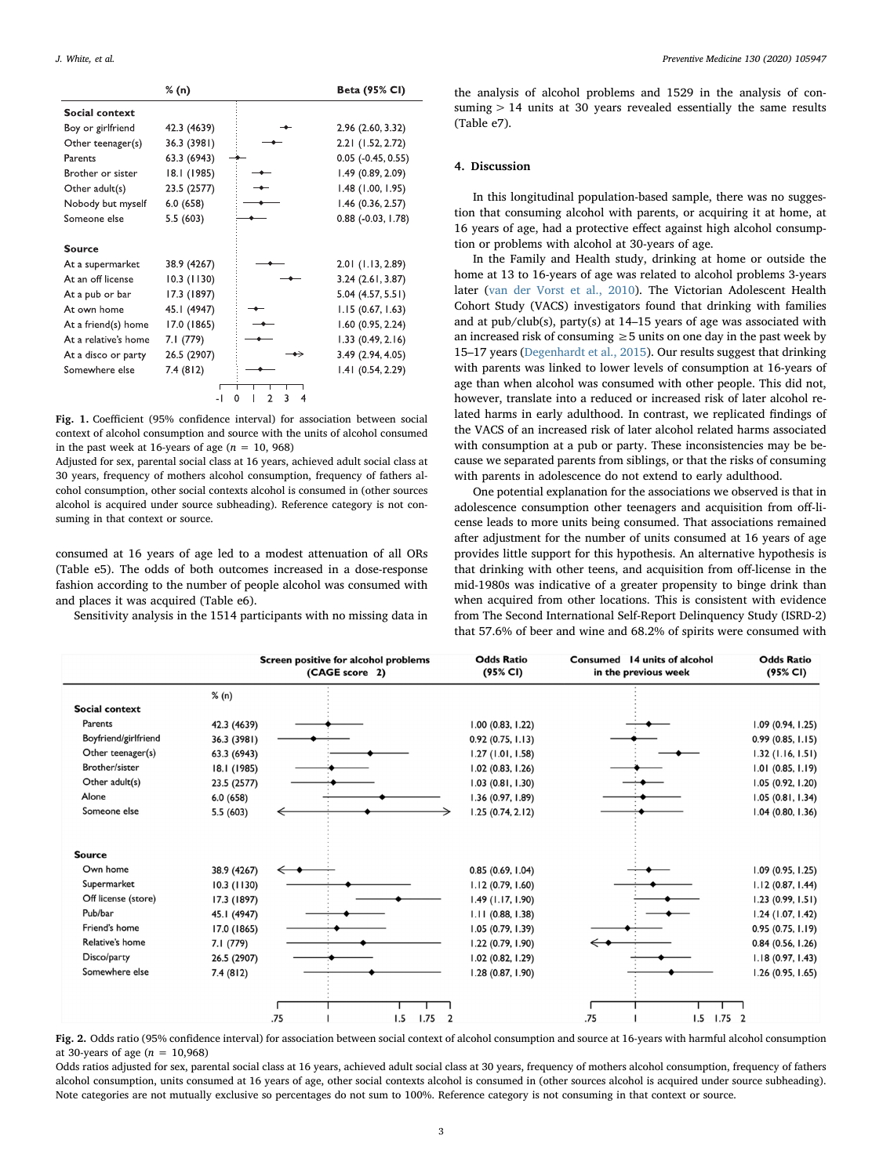<span id="page-2-0"></span>

|                      | % (n)         |             | Beta (95% CI)               |
|----------------------|---------------|-------------|-----------------------------|
| Social context       |               |             |                             |
| Boy or girlfriend    | 42.3 (4639)   |             | 2.96 (2.60, 3.32)           |
| Other teenager(s)    | 36.3 (3981)   |             | 2.21 (1.52, 2.72)           |
| Parents              | 63.3 (6943)   |             | $0.05$ ( $-0.45, 0.55$ )    |
| Brother or sister    | 18.1 (1985)   |             | 1.49 (0.89, 2.09)           |
| Other adult(s)       | 23.5 (2577)   |             | 1.48 (1.00, 1.95)           |
| Nobody but myself    | 6.0(658)      |             | 1.46 (0.36, 2.57)           |
| Someone else         | 5.5(603)      |             | $0.88$ ( $-0.03$ , $1.78$ ) |
|                      |               |             |                             |
| <b>Source</b>        |               |             |                             |
| At a supermarket     | 38.9 (4267)   |             | $2.01$ (1.13, 2.89)         |
| At an off license    | $10.3$ (1130) |             | 3.24(2.61, 3.87)            |
| At a pub or bar      | 17.3 (1897)   |             | 5.04 (4.57, 5.51)           |
| At own home          | 45.1 (4947)   |             | 1.15(0.67, 1.63)            |
| At a friend(s) home  | 17.0 (1865)   |             | 1.60 (0.95, 2.24)           |
| At a relative's home | 7.1 (779)     |             | 1.33 (0.49, 2.16)           |
| At a disco or party  | 26.5 (2907)   |             | 3.49 (2.94, 4.05)           |
| Somewhere else       | 7.4(812)      |             | 1.41 (0.54, 2.29)           |
|                      |               | 2<br>3<br>0 |                             |

Fig. 1. Coefficient (95% confidence interval) for association between social context of alcohol consumption and source with the units of alcohol consumed in the past week at 16-years of age  $(n = 10, 968)$ 

Adjusted for sex, parental social class at 16 years, achieved adult social class at 30 years, frequency of mothers alcohol consumption, frequency of fathers alcohol consumption, other social contexts alcohol is consumed in (other sources alcohol is acquired under source subheading). Reference category is not consuming in that context or source.

consumed at 16 years of age led to a modest attenuation of all ORs (Table e5). The odds of both outcomes increased in a dose-response fashion according to the number of people alcohol was consumed with and places it was acquired (Table e6).

Sensitivity analysis in the 1514 participants with no missing data in

the analysis of alcohol problems and 1529 in the analysis of consuming > 14 units at 30 years revealed essentially the same results (Table e7).

# 4. Discussion

In this longitudinal population-based sample, there was no suggestion that consuming alcohol with parents, or acquiring it at home, at 16 years of age, had a protective effect against high alcohol consumption or problems with alcohol at 30-years of age.

In the Family and Health study, drinking at home or outside the home at 13 to 16-years of age was related to alcohol problems 3-years later ([van der Vorst et al., 2010](#page-3-12)). The Victorian Adolescent Health Cohort Study (VACS) investigators found that drinking with families and at pub/club(s), party(s) at 14–15 years of age was associated with an increased risk of consuming  $\geq$  5 units on one day in the past week by 15–17 years ([Degenhardt et al., 2015](#page-3-13)). Our results suggest that drinking with parents was linked to lower levels of consumption at 16-years of age than when alcohol was consumed with other people. This did not, however, translate into a reduced or increased risk of later alcohol related harms in early adulthood. In contrast, we replicated findings of the VACS of an increased risk of later alcohol related harms associated with consumption at a pub or party. These inconsistencies may be because we separated parents from siblings, or that the risks of consuming with parents in adolescence do not extend to early adulthood.

One potential explanation for the associations we observed is that in adolescence consumption other teenagers and acquisition from off-license leads to more units being consumed. That associations remained after adjustment for the number of units consumed at 16 years of age provides little support for this hypothesis. An alternative hypothesis is that drinking with other teens, and acquisition from off-license in the mid-1980s was indicative of a greater propensity to binge drink than when acquired from other locations. This is consistent with evidence from The Second International Self-Report Delinquency Study (ISRD-2) that 57.6% of beer and wine and 68.2% of spirits were consumed with

<span id="page-2-1"></span>

|                       | Screen positive for alcohol problems<br>(CAGE score 2) | <b>Odds Ratio</b><br>(95% CI) | Consumed 14 units of alcohol<br>in the previous week | <b>Odds Ratio</b><br>(95% CI) |
|-----------------------|--------------------------------------------------------|-------------------------------|------------------------------------------------------|-------------------------------|
|                       | % (n)                                                  |                               |                                                      |                               |
| <b>Social context</b> |                                                        |                               |                                                      |                               |
| Parents               | 42.3 (4639)                                            | 1.00(0.83, 1.22)              |                                                      | 1.09(0.94, 1.25)              |
| Boyfriend/girlfriend  | 36.3 (3981)                                            | 0.92(0.75, 1.13)              |                                                      | 0.99(0.85, 1.15)              |
| Other teenager(s)     | 63.3 (6943)                                            | 1.27(1.01, 1.58)              |                                                      | 1.32(1.16, 1.51)              |
| Brother/sister        | 18.1 (1985)                                            | $1.02$ (0.83, 1.26)           |                                                      | $1.01$ (0.85, 1.19)           |
| Other adult(s)        | 23.5 (2577)                                            | 1.03(0.81, 1.30)              |                                                      | 1.05(0.92, 1.20)              |
| Alone                 | 6.0(658)                                               | 1.36(0.97, 1.89)              |                                                      | 1.05(0.81, 1.34)              |
| Someone else          | 5.5(603)                                               | 1.25(0.74, 2.12)              |                                                      | 1.04(0.80, 1.36)              |
| <b>Source</b>         |                                                        |                               |                                                      |                               |
| Own home              | 38.9 (4267)                                            | 0.85(0.69, 1.04)              |                                                      | 1.09(0.95, 1.25)              |
| Supermarket           | 10.3(1130)                                             | 1.12(0.79, 1.60)              |                                                      | 1.12(0.87, 1.44)              |
| Off license (store)   | 17.3 (1897)                                            | $1.49$ (1.17, 1.90)           |                                                      | 1.23(0.99, 1.51)              |
| Pub/bar               | 45.1 (4947)                                            | 1.11(0.88, 1.38)              |                                                      | 1.24(1.07, 1.42)              |
| Friend's home         | 17.0 (1865)                                            | 1.05(0.79, 1.39)              |                                                      | 0.95(0.75, 1.19)              |
| Relative's home       | 7.1 (779)                                              | 1.22(0.79, 1.90)              |                                                      | 0.84(0.56, 1.26)              |
| Disco/party           | 26.5 (2907)                                            | $1.02$ (0.82, 1.29)           |                                                      | 1.18(0.97, 1.43)              |
| Somewhere else        | 7.4(812)                                               | 1.28(0.87, 1.90)              |                                                      | 1.26(0.95, 1.65)              |
|                       |                                                        |                               |                                                      |                               |
|                       | .75<br>1.5<br>1.75                                     | $\overline{2}$                | .75<br>$1.75$ 2<br>1.5                               |                               |



Odds ratios adjusted for sex, parental social class at 16 years, achieved adult social class at 30 years, frequency of mothers alcohol consumption, frequency of fathers alcohol consumption, units consumed at 16 years of age, other social contexts alcohol is consumed in (other sources alcohol is acquired under source subheading). Note categories are not mutually exclusive so percentages do not sum to 100%. Reference category is not consuming in that context or source.